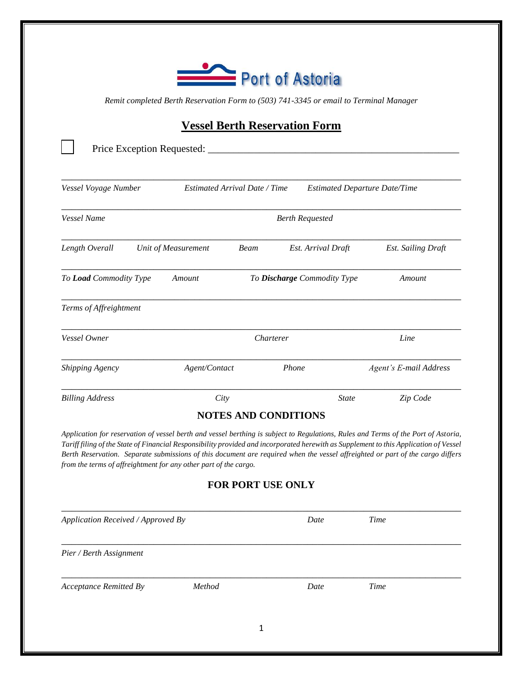

*Remit completed Berth Reservation Form to (503) 741-3345 or email to Terminal Manager*

## **Vessel Berth Reservation Form**

| Vessel Voyage Number   |                     | Estimated Arrival Date / Time<br><b>Estimated Departure Date/Time</b> |                    |                           |  |  |  |
|------------------------|---------------------|-----------------------------------------------------------------------|--------------------|---------------------------|--|--|--|
| Vessel Name            |                     | <b>Berth Requested</b>                                                |                    |                           |  |  |  |
| Length Overall         | Unit of Measurement | Beam                                                                  | Est. Arrival Draft | <b>Est.</b> Sailing Draft |  |  |  |
| To Load Commodity Type | Amount              | To Discharge Commodity Type                                           | Amount             |                           |  |  |  |
| Terms of Affreightment |                     |                                                                       |                    |                           |  |  |  |
| Vessel Owner           |                     | Charterer                                                             | Line               |                           |  |  |  |
| Shipping Agency        | Agent/Contact       |                                                                       | Phone              | Agent's E-mail Address    |  |  |  |
| <b>Billing Address</b> | City                |                                                                       | <b>State</b>       | Zip Code                  |  |  |  |

*Tariff filing of the State of Financial Responsibility provided and incorporated herewith as Supplement to this Application of Vessel Berth Reservation. Separate submissions of this document are required when the vessel affreighted or part of the cargo differs from the terms of affreightment for any other part of the cargo.* 

## **FOR PORT USE ONLY**

| Application Received / Approved By |        |   | Date | <b>Time</b> |  |
|------------------------------------|--------|---|------|-------------|--|
| Pier / Berth Assignment            |        |   |      |             |  |
| <b>Acceptance Remitted By</b>      | Method |   | Date | Time        |  |
|                                    |        | 1 |      |             |  |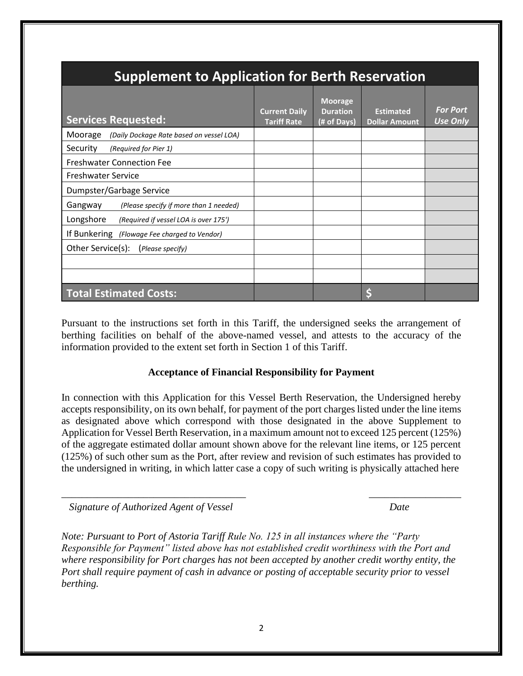| <b>Supplement to Application for Berth Reservation</b> |                                            |                                                  |                                          |                                    |  |  |  |  |
|--------------------------------------------------------|--------------------------------------------|--------------------------------------------------|------------------------------------------|------------------------------------|--|--|--|--|
| <b>Services Requested:</b>                             | <b>Current Daily</b><br><b>Tariff Rate</b> | <b>Moorage</b><br><b>Duration</b><br>(# of Days) | <b>Estimated</b><br><b>Dollar Amount</b> | <b>For Port</b><br><b>Use Only</b> |  |  |  |  |
| Moorage<br>(Daily Dockage Rate based on vessel LOA)    |                                            |                                                  |                                          |                                    |  |  |  |  |
| Security<br>(Required for Pier 1)                      |                                            |                                                  |                                          |                                    |  |  |  |  |
| <b>Freshwater Connection Fee</b>                       |                                            |                                                  |                                          |                                    |  |  |  |  |
| <b>Freshwater Service</b>                              |                                            |                                                  |                                          |                                    |  |  |  |  |
| Dumpster/Garbage Service                               |                                            |                                                  |                                          |                                    |  |  |  |  |
| Gangway<br>(Please specify if more than 1 needed)      |                                            |                                                  |                                          |                                    |  |  |  |  |
| Longshore<br>(Required if vessel LOA is over 175')     |                                            |                                                  |                                          |                                    |  |  |  |  |
| If Bunkering (Flowage Fee charged to Vendor)           |                                            |                                                  |                                          |                                    |  |  |  |  |
| Other Service(s):<br>(Please specify)                  |                                            |                                                  |                                          |                                    |  |  |  |  |
|                                                        |                                            |                                                  |                                          |                                    |  |  |  |  |
|                                                        |                                            |                                                  |                                          |                                    |  |  |  |  |
| <b>Total Estimated Costs:</b>                          |                                            |                                                  |                                          |                                    |  |  |  |  |

Pursuant to the instructions set forth in this Tariff, the undersigned seeks the arrangement of berthing facilities on behalf of the above-named vessel, and attests to the accuracy of the information provided to the extent set forth in Section 1 of this Tariff.

## **Acceptance of Financial Responsibility for Payment**

In connection with this Application for this Vessel Berth Reservation, the Undersigned hereby accepts responsibility, on its own behalf, for payment of the port charges listed under the line items as designated above which correspond with those designated in the above Supplement to Application for Vessel Berth Reservation, in a maximum amount not to exceed 125 percent (125%) of the aggregate estimated dollar amount shown above for the relevant line items, or 125 percent (125%) of such other sum as the Port, after review and revision of such estimates has provided to the undersigned in writing, in which latter case a copy of such writing is physically attached here

 $\overline{\phantom{a}}$  , and the contract of the contract of the contract of the contract of the contract of the contract of the contract of the contract of the contract of the contract of the contract of the contract of the contrac

 *Signature of Authorized Agent of Vessel Date*

*Note: Pursuant to Port of Astoria Tariff Rule No. 125 in all instances where the "Party Responsible for Payment" listed above has not established credit worthiness with the Port and where responsibility for Port charges has not been accepted by another credit worthy entity, the Port shall require payment of cash in advance or posting of acceptable security prior to vessel berthing.*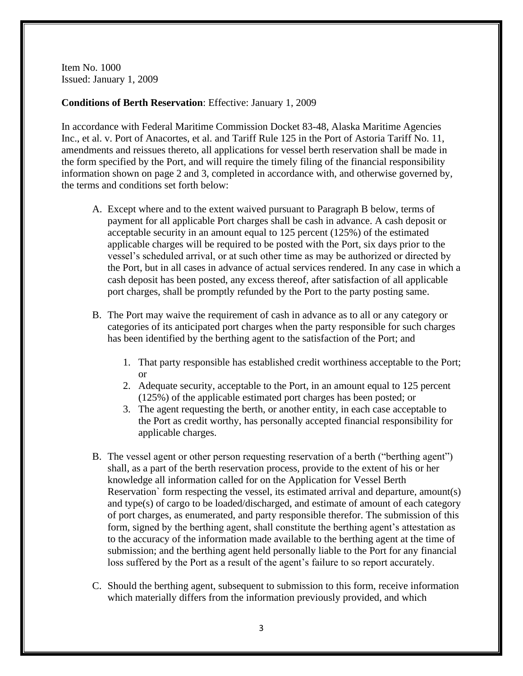Item No. 1000 Issued: January 1, 2009

## **Conditions of Berth Reservation**: Effective: January 1, 2009

In accordance with Federal Maritime Commission Docket 83-48, Alaska Maritime Agencies Inc., et al. v. Port of Anacortes, et al. and Tariff Rule 125 in the Port of Astoria Tariff No. 11, amendments and reissues thereto, all applications for vessel berth reservation shall be made in the form specified by the Port, and will require the timely filing of the financial responsibility information shown on page 2 and 3, completed in accordance with, and otherwise governed by, the terms and conditions set forth below:

- A. Except where and to the extent waived pursuant to Paragraph B below, terms of payment for all applicable Port charges shall be cash in advance. A cash deposit or acceptable security in an amount equal to 125 percent (125%) of the estimated applicable charges will be required to be posted with the Port, six days prior to the vessel's scheduled arrival, or at such other time as may be authorized or directed by the Port, but in all cases in advance of actual services rendered. In any case in which a cash deposit has been posted, any excess thereof, after satisfaction of all applicable port charges, shall be promptly refunded by the Port to the party posting same.
- B. The Port may waive the requirement of cash in advance as to all or any category or categories of its anticipated port charges when the party responsible for such charges has been identified by the berthing agent to the satisfaction of the Port; and
	- 1. That party responsible has established credit worthiness acceptable to the Port; or
	- 2. Adequate security, acceptable to the Port, in an amount equal to 125 percent (125%) of the applicable estimated port charges has been posted; or
	- 3. The agent requesting the berth, or another entity, in each case acceptable to the Port as credit worthy, has personally accepted financial responsibility for applicable charges.
- B. The vessel agent or other person requesting reservation of a berth ("berthing agent") shall, as a part of the berth reservation process, provide to the extent of his or her knowledge all information called for on the Application for Vessel Berth Reservation` form respecting the vessel, its estimated arrival and departure, amount(s) and type(s) of cargo to be loaded/discharged, and estimate of amount of each category of port charges, as enumerated, and party responsible therefor. The submission of this form, signed by the berthing agent, shall constitute the berthing agent's attestation as to the accuracy of the information made available to the berthing agent at the time of submission; and the berthing agent held personally liable to the Port for any financial loss suffered by the Port as a result of the agent's failure to so report accurately.
- C. Should the berthing agent, subsequent to submission to this form, receive information which materially differs from the information previously provided, and which